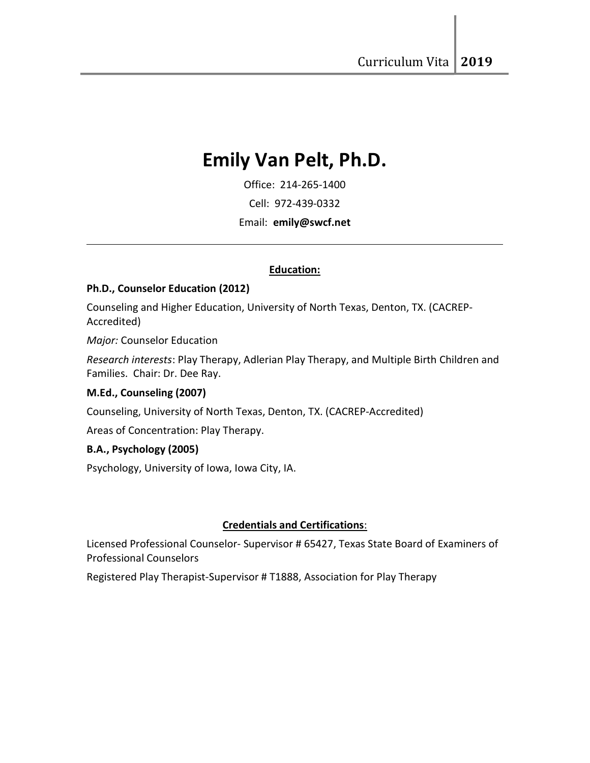# Emily Van Pelt, Ph.D.

Office: 214-265-1400

Cell: 972-439-0332

Email: emily@swcf.net

## Education:

## Ph.D., Counselor Education (2012)

Counseling and Higher Education, University of North Texas, Denton, TX. (CACREP-Accredited)

Major: Counselor Education

 $\ddot{\phantom{a}}$ 

Research interests: Play Therapy, Adlerian Play Therapy, and Multiple Birth Children and Families. Chair: Dr. Dee Ray.

## M.Ed., Counseling (2007)

Counseling, University of North Texas, Denton, TX. (CACREP-Accredited)

Areas of Concentration: Play Therapy.

## B.A., Psychology (2005)

Psychology, University of Iowa, Iowa City, IA.

## Credentials and Certifications:

Licensed Professional Counselor- Supervisor # 65427, Texas State Board of Examiners of Professional Counselors

Registered Play Therapist-Supervisor # T1888, Association for Play Therapy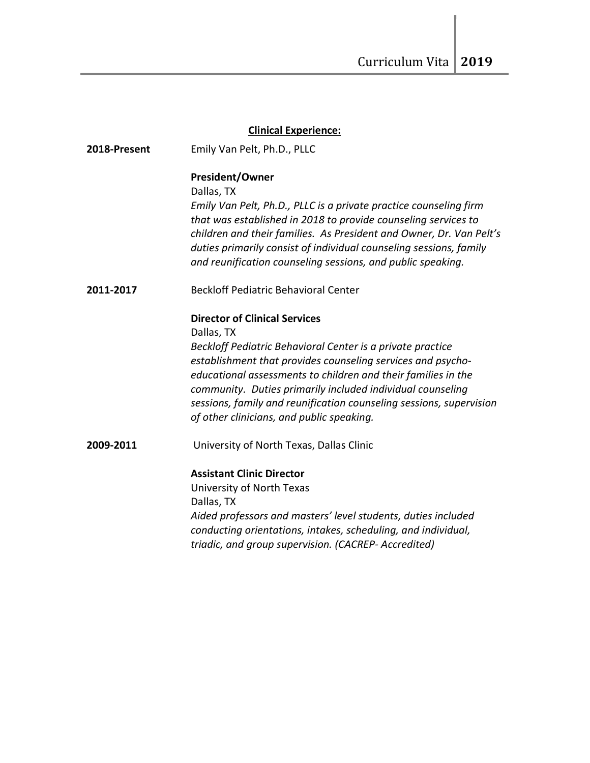|              | <b>Clinical Experience:</b>                                                                                                       |
|--------------|-----------------------------------------------------------------------------------------------------------------------------------|
| 2018-Present | Emily Van Pelt, Ph.D., PLLC                                                                                                       |
|              | <b>President/Owner</b>                                                                                                            |
|              | Dallas, TX                                                                                                                        |
|              | Emily Van Pelt, Ph.D., PLLC is a private practice counseling firm                                                                 |
|              | that was established in 2018 to provide counseling services to                                                                    |
|              | children and their families. As President and Owner, Dr. Van Pelt's                                                               |
|              | duties primarily consist of individual counseling sessions, family<br>and reunification counseling sessions, and public speaking. |
| 2011-2017    | <b>Beckloff Pediatric Behavioral Center</b>                                                                                       |
|              | <b>Director of Clinical Services</b>                                                                                              |
|              | Dallas, TX                                                                                                                        |
|              | Beckloff Pediatric Behavioral Center is a private practice                                                                        |
|              | establishment that provides counseling services and psycho-<br>educational assessments to children and their families in the      |
|              | community. Duties primarily included individual counseling                                                                        |
|              | sessions, family and reunification counseling sessions, supervision                                                               |
|              | of other clinicians, and public speaking.                                                                                         |
| 2009-2011    | University of North Texas, Dallas Clinic                                                                                          |
|              | <b>Assistant Clinic Director</b>                                                                                                  |
|              | University of North Texas                                                                                                         |
|              | Dallas, TX                                                                                                                        |
|              | Aided professors and masters' level students, duties included                                                                     |
|              | conducting orientations, intakes, scheduling, and individual,                                                                     |
|              | triadic, and group supervision. (CACREP-Accredited)                                                                               |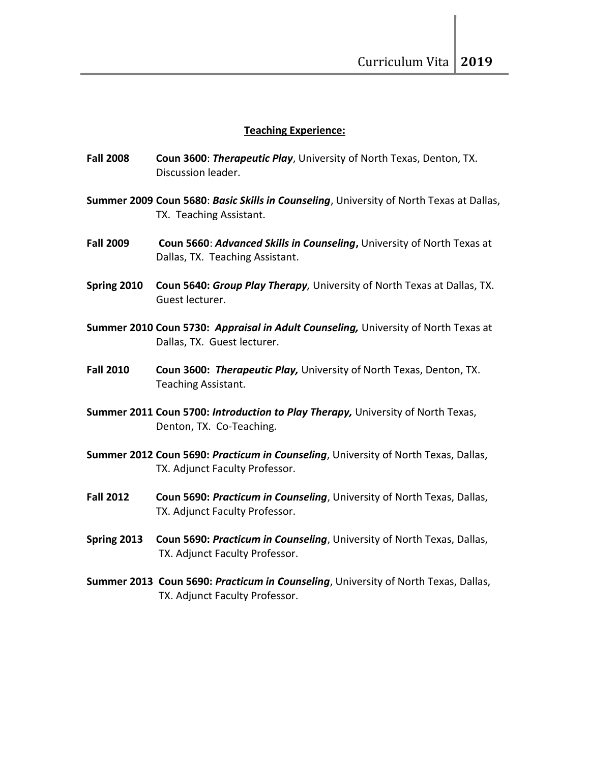#### Teaching Experience:

- Fall 2008 Coun 3600: Therapeutic Play, University of North Texas, Denton, TX. Discussion leader.
- Summer 2009 Coun 5680: Basic Skills in Counseling, University of North Texas at Dallas, TX. Teaching Assistant.
- Fall 2009 Coun 5660: Advanced Skills in Counseling, University of North Texas at Dallas, TX. Teaching Assistant.
- Spring 2010 Coun 5640: Group Play Therapy, University of North Texas at Dallas, TX. Guest lecturer.
- Summer 2010 Coun 5730: Appraisal in Adult Counseling, University of North Texas at Dallas, TX. Guest lecturer.
- Fall 2010 Coun 3600: Therapeutic Play, University of North Texas, Denton, TX. Teaching Assistant.
- Summer 2011 Coun 5700: Introduction to Play Therapy, University of North Texas, Denton, TX. Co-Teaching.
- Summer 2012 Coun 5690: Practicum in Counseling, University of North Texas, Dallas, TX. Adjunct Faculty Professor.
- Fall 2012 Coun 5690: Practicum in Counseling, University of North Texas, Dallas, TX. Adjunct Faculty Professor.
- Spring 2013 Coun 5690: Practicum in Counseling, University of North Texas, Dallas, TX. Adjunct Faculty Professor.
- Summer 2013 Coun 5690: Practicum in Counseling, University of North Texas, Dallas, TX. Adjunct Faculty Professor.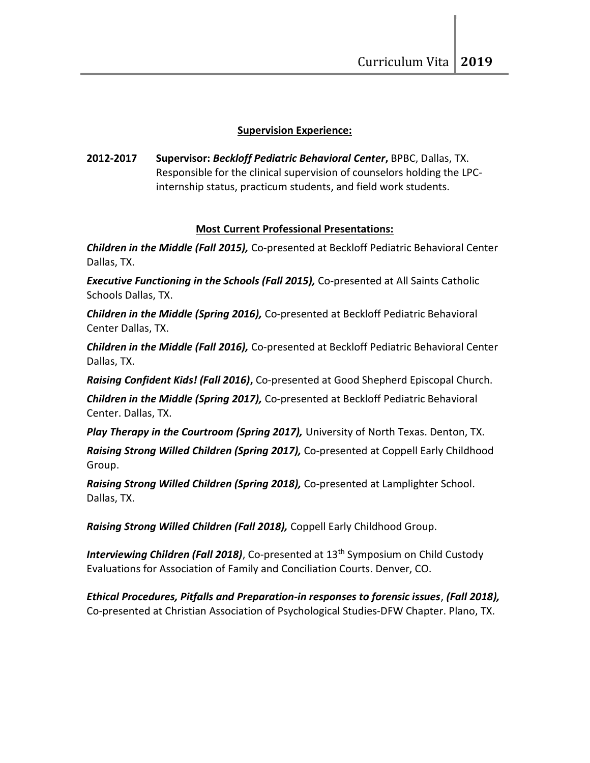# Supervision Experience:

2012-2017 Supervisor: Beckloff Pediatric Behavioral Center, BPBC, Dallas, TX. Responsible for the clinical supervision of counselors holding the LPCinternship status, practicum students, and field work students.

# Most Current Professional Presentations:

**Children in the Middle (Fall 2015), Co-presented at Beckloff Pediatric Behavioral Center** Dallas, TX.

**Executive Functioning in the Schools (Fall 2015), Co-presented at All Saints Catholic** Schools Dallas, TX.

Children in the Middle (Spring 2016), Co-presented at Beckloff Pediatric Behavioral Center Dallas, TX.

Children in the Middle (Fall 2016), Co-presented at Beckloff Pediatric Behavioral Center Dallas, TX.

Raising Confident Kids! (Fall 2016), Co-presented at Good Shepherd Episcopal Church.

Children in the Middle (Spring 2017), Co-presented at Beckloff Pediatric Behavioral Center. Dallas, TX.

Play Therapy in the Courtroom (Spring 2017), University of North Texas. Denton, TX.

Raising Strong Willed Children (Spring 2017), Co-presented at Coppell Early Childhood Group.

Raising Strong Willed Children (Spring 2018), Co-presented at Lamplighter School. Dallas, TX.

Raising Strong Willed Children (Fall 2018), Coppell Early Childhood Group.

Interviewing Children (Fall 2018), Co-presented at 13<sup>th</sup> Symposium on Child Custody Evaluations for Association of Family and Conciliation Courts. Denver, CO.

Ethical Procedures, Pitfalls and Preparation-in responses to forensic issues, (Fall 2018), Co-presented at Christian Association of Psychological Studies-DFW Chapter. Plano, TX.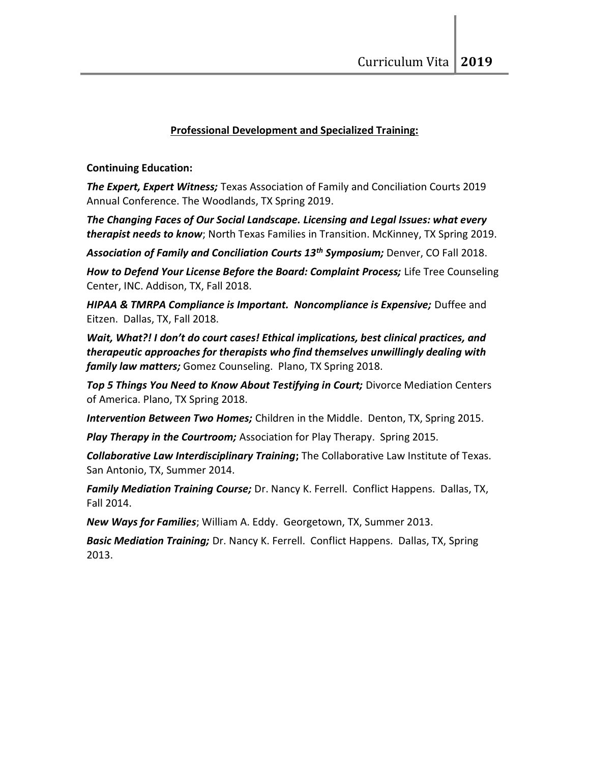# Professional Development and Specialized Training:

# Continuing Education:

The Expert, Expert Witness; Texas Association of Family and Conciliation Courts 2019 Annual Conference. The Woodlands, TX Spring 2019.

The Changing Faces of Our Social Landscape. Licensing and Legal Issues: what every therapist needs to know; North Texas Families in Transition. McKinney, TX Spring 2019.

Association of Family and Conciliation Courts 13<sup>th</sup> Symposium; Denver, CO Fall 2018.

How to Defend Your License Before the Board: Complaint Process; Life Tree Counseling Center, INC. Addison, TX, Fall 2018.

HIPAA & TMRPA Compliance is Important. Noncompliance is Expensive; Duffee and Eitzen. Dallas, TX, Fall 2018.

Wait, What?! I don't do court cases! Ethical implications, best clinical practices, and therapeutic approaches for therapists who find themselves unwillingly dealing with family law matters; Gomez Counseling. Plano, TX Spring 2018.

Top 5 Things You Need to Know About Testifying in Court; Divorce Mediation Centers of America. Plano, TX Spring 2018.

Intervention Between Two Homes; Children in the Middle. Denton, TX, Spring 2015.

Play Therapy in the Courtroom; Association for Play Therapy. Spring 2015.

Collaborative Law Interdisciplinary Training; The Collaborative Law Institute of Texas. San Antonio, TX, Summer 2014.

Family Mediation Training Course; Dr. Nancy K. Ferrell. Conflict Happens. Dallas, TX, Fall 2014.

New Ways for Families; William A. Eddy. Georgetown, TX, Summer 2013.

**Basic Mediation Training;** Dr. Nancy K. Ferrell. Conflict Happens. Dallas, TX, Spring 2013.